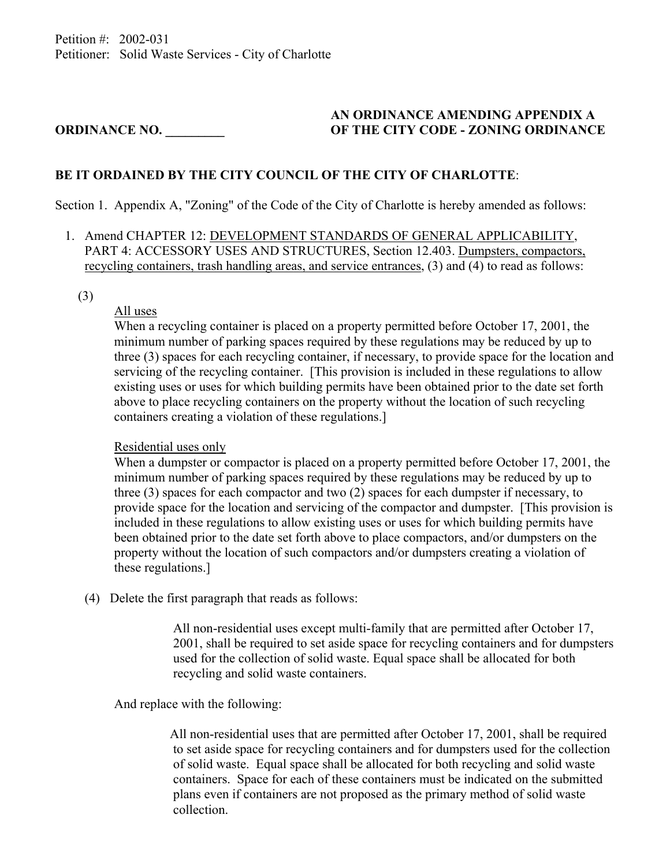## **AN ORDINANCE AMENDING APPENDIX A ORDINANCE NO. \_\_\_\_\_\_\_\_\_ OF THE CITY CODE - ZONING ORDINANCE**

## **BE IT ORDAINED BY THE CITY COUNCIL OF THE CITY OF CHARLOTTE**:

Section 1. Appendix A, "Zoning" of the Code of the City of Charlotte is hereby amended as follows:

- 1. Amend CHAPTER 12: DEVELOPMENT STANDARDS OF GENERAL APPLICABILITY, PART 4: ACCESSORY USES AND STRUCTURES, Section 12.403. Dumpsters, compactors, recycling containers, trash handling areas, and service entrances, (3) and (4) to read as follows:
	- (3)

## All uses

 When a recycling container is placed on a property permitted before October 17, 2001, the minimum number of parking spaces required by these regulations may be reduced by up to three (3) spaces for each recycling container, if necessary, to provide space for the location and servicing of the recycling container. [This provision is included in these regulations to allow existing uses or uses for which building permits have been obtained prior to the date set forth above to place recycling containers on the property without the location of such recycling containers creating a violation of these regulations.]

## Residential uses only

 When a dumpster or compactor is placed on a property permitted before October 17, 2001, the minimum number of parking spaces required by these regulations may be reduced by up to three (3) spaces for each compactor and two (2) spaces for each dumpster if necessary, to provide space for the location and servicing of the compactor and dumpster. [This provision is included in these regulations to allow existing uses or uses for which building permits have been obtained prior to the date set forth above to place compactors, and/or dumpsters on the property without the location of such compactors and/or dumpsters creating a violation of these regulations.]

(4) Delete the first paragraph that reads as follows:

 All non-residential uses except multi-family that are permitted after October 17, 2001, shall be required to set aside space for recycling containers and for dumpsters used for the collection of solid waste. Equal space shall be allocated for both recycling and solid waste containers.

And replace with the following:

 All non-residential uses that are permitted after October 17, 2001, shall be required to set aside space for recycling containers and for dumpsters used for the collection of solid waste. Equal space shall be allocated for both recycling and solid waste containers. Space for each of these containers must be indicated on the submitted plans even if containers are not proposed as the primary method of solid waste collection.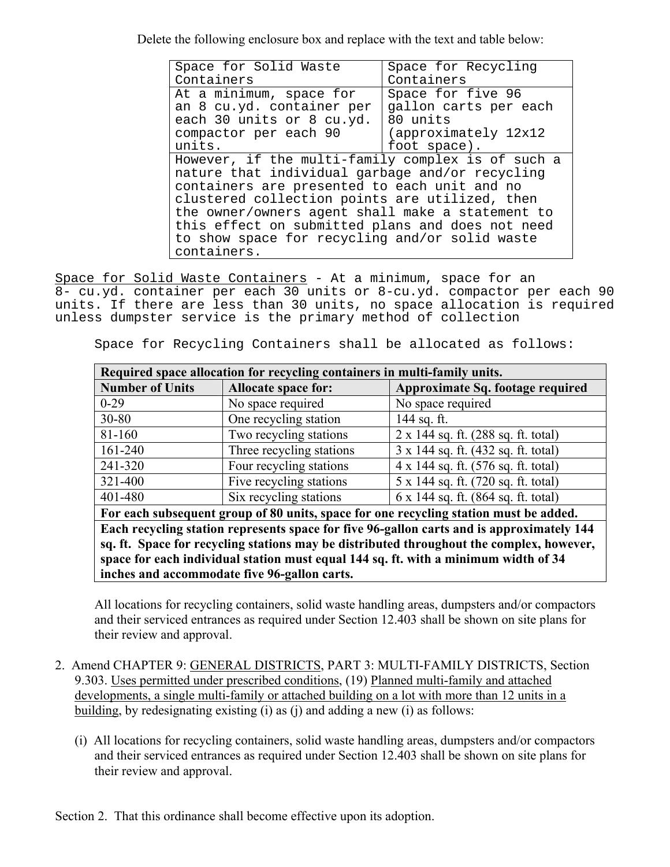Delete the following enclosure box and replace with the text and table below:

| Space for Solid Waste                             | Space for Recycling   |  |
|---------------------------------------------------|-----------------------|--|
| Containers                                        | Containers            |  |
| At a minimum, space for                           | Space for five 96     |  |
| an 8 cu.yd. container per                         | gallon carts per each |  |
| each 30 units or 8 cu.yd.                         | 80 units              |  |
| compactor per each 90                             | (approximately 12x12) |  |
| units.                                            | foot space).          |  |
| However, if the multi-family complex is of such a |                       |  |
| nature that individual garbage and/or recycling   |                       |  |
| containers are presented to each unit and no      |                       |  |
| clustered collection points are utilized, then    |                       |  |
| the owner/owners agent shall make a statement to  |                       |  |
| this effect on submitted plans and does not need  |                       |  |
| to show space for recycling and/or solid waste    |                       |  |
| containers.                                       |                       |  |

Space for Solid Waste Containers - At a minimum, space for an 8- cu.yd. container per each 30 units or 8-cu.yd. compactor per each 90 units. If there are less than 30 units, no space allocation is required unless dumpster service is the primary method of collection

Space for Recycling Containers shall be allocated as follows:

| Required space allocation for recycling containers in multi-family units.                 |                            |                                              |
|-------------------------------------------------------------------------------------------|----------------------------|----------------------------------------------|
| <b>Number of Units</b>                                                                    | <b>Allocate space for:</b> | Approximate Sq. footage required             |
| $0 - 29$                                                                                  | No space required          | No space required                            |
| 30-80                                                                                     | One recycling station      | 144 sq. ft.                                  |
| 81-160                                                                                    | Two recycling stations     | $2 \times 144$ sq. ft. (288 sq. ft. total)   |
| 161-240                                                                                   | Three recycling stations   | 3 x 144 sq. ft. (432 sq. ft. total)          |
| 241-320                                                                                   | Four recycling stations    | 4 x 144 sq. ft. (576 sq. ft. total)          |
| 321-400                                                                                   | Five recycling stations    | 5 x 144 sq. ft. (720 sq. ft. total)          |
| 401-480                                                                                   | Six recycling stations     | $6 \times 144$ sq. ft. $(864$ sq. ft. total) |
| For each subsequent group of 80 units, space for one recycling station must be added.     |                            |                                              |
| Each recycling station represents space for five 96-gallon carts and is approximately 144 |                            |                                              |
| sq. ft. Space for recycling stations may be distributed throughout the complex, however,  |                            |                                              |
| space for each individual station must equal 144 sq. ft. with a minimum width of 34       |                            |                                              |
| inches and accommodate five 96-gallon carts.                                              |                            |                                              |

 All locations for recycling containers, solid waste handling areas, dumpsters and/or compactors and their serviced entrances as required under Section 12.403 shall be shown on site plans for their review and approval.

- 2. Amend CHAPTER 9: GENERAL DISTRICTS, PART 3: MULTI-FAMILY DISTRICTS, Section 9.303. Uses permitted under prescribed conditions, (19) Planned multi-family and attached developments, a single multi-family or attached building on a lot with more than 12 units in a building, by redesignating existing (i) as (j) and adding a new (i) as follows:
	- (i) All locations for recycling containers, solid waste handling areas, dumpsters and/or compactors and their serviced entrances as required under Section 12.403 shall be shown on site plans for their review and approval.

Section 2. That this ordinance shall become effective upon its adoption.